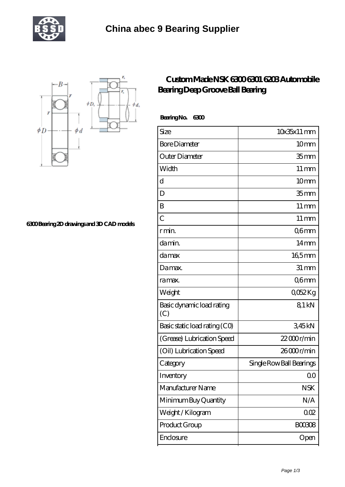



**[6300 Bearing 2D drawings and 3D CAD models](https://m.tourethiopiatravel.com/pic-681356.html)**

## **[Custom Made NSK 6300 6301 6203 Automobile](https://m.tourethiopiatravel.com/nsk-6301-bearing/681356.html) [Bearing Deep Groove Ball Bearing](https://m.tourethiopiatravel.com/nsk-6301-bearing/681356.html)**

 **Bearing No. 6300**

| Size                             | $10x35x11$ mm            |
|----------------------------------|--------------------------|
| <b>Bore Diameter</b>             | 10 <sub>mm</sub>         |
| Outer Diameter                   | 35 <sub>mm</sub>         |
| Width                            | $11 \,\mathrm{mm}$       |
| d                                | 10 <sub>mm</sub>         |
| D                                | 35 <sub>mm</sub>         |
| B                                | $11 \,\mathrm{mm}$       |
| $\overline{C}$                   | $11 \,\mathrm{mm}$       |
| r min.                           | Q6mm                     |
| da min.                          | $14 \text{mm}$           |
| damax                            | 165mm                    |
| Damax.                           | $31 \, \text{mm}$        |
| ra max.                          | Q6mm                     |
| Weight                           | Q052Kg                   |
| Basic dynamic load rating<br>(C) | 81 kN                    |
| Basic static load rating (CO)    | 345kN                    |
| (Grease) Lubrication Speed       | $22000$ r/min            |
| (Oil) Lubrication Speed          | 26000r/min               |
| Category                         | Single Row Ball Bearings |
| Inventory                        | Q0                       |
| Manufacturer Name                | <b>NSK</b>               |
| Minimum Buy Quantity             | N/A                      |
| Weight /Kilogram                 | 002                      |
| Product Group                    | <b>BOO308</b>            |
| Enclosure                        | Open                     |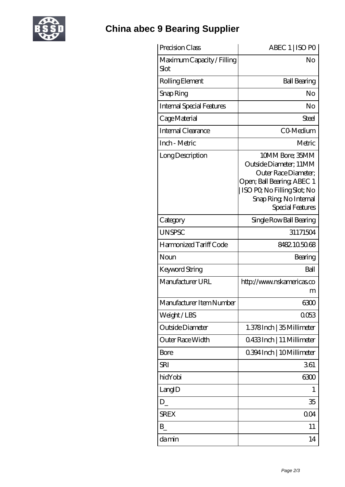

| Precision Class                    | ABEC 1   ISO PO                                                                                                                                                             |
|------------------------------------|-----------------------------------------------------------------------------------------------------------------------------------------------------------------------------|
| Maximum Capacity / Filling<br>Slot | No                                                                                                                                                                          |
| Rolling Element                    | <b>Ball Bearing</b>                                                                                                                                                         |
| Snap Ring                          | No                                                                                                                                                                          |
| <b>Internal Special Features</b>   | No                                                                                                                                                                          |
| Cage Material                      | <b>Steel</b>                                                                                                                                                                |
| Internal Clearance                 | CO-Medium                                                                                                                                                                   |
| Inch - Metric                      | Metric                                                                                                                                                                      |
| Long Description                   | 10MM Bore; 35MM<br>Outside Diameter; 11MM<br>Outer Race Diameter;<br>Open; Ball Bearing; ABEC 1<br>ISO PQ No Filling Slot; No<br>Snap Ring, No Internal<br>Special Features |
| Category                           | Single Row Ball Bearing                                                                                                                                                     |
| <b>UNSPSC</b>                      | 31171504                                                                                                                                                                    |
| Harmonized Tariff Code             | 8482105068                                                                                                                                                                  |
| Noun                               | Bearing                                                                                                                                                                     |
| <b>Keyword String</b>              | Ball                                                                                                                                                                        |
| Manufacturer URL                   | http://www.nskamericas.co<br>m                                                                                                                                              |
| Manufacturer Item Number           | 6300                                                                                                                                                                        |
| Weight/LBS                         | 0053                                                                                                                                                                        |
| Outside Diameter                   | 1.378Inch   35 Millimeter                                                                                                                                                   |
| Outer Race Width                   | Q433Inch   11 Millimeter                                                                                                                                                    |
| Bore                               | 0.394 Inch   10 Millimeter                                                                                                                                                  |
| SRI                                | 361                                                                                                                                                                         |
| hidYobi                            | 6300                                                                                                                                                                        |
| LangID                             | 1                                                                                                                                                                           |
| D                                  | 35                                                                                                                                                                          |
| <b>SREX</b>                        | 0 <sub>O</sub> 4                                                                                                                                                            |
| B                                  | 11                                                                                                                                                                          |
| damin                              | 14                                                                                                                                                                          |